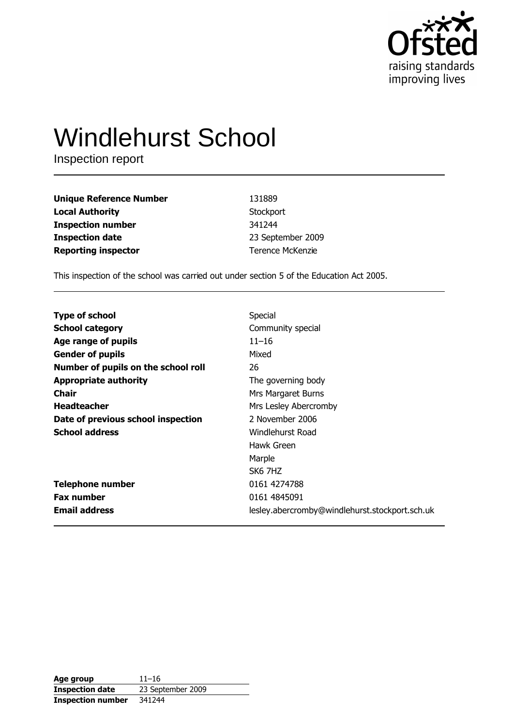

# **Windlehurst School**

Inspection report

| <b>Unique Reference Number</b> | 131889                  |
|--------------------------------|-------------------------|
| <b>Local Authority</b>         | Stockport               |
| <b>Inspection number</b>       | 341244                  |
| <b>Inspection date</b>         | 23 September 2009       |
| <b>Reporting inspector</b>     | <b>Terence McKenzie</b> |

This inspection of the school was carried out under section 5 of the Education Act 2005.

| <b>Type of school</b>               | Special                                        |
|-------------------------------------|------------------------------------------------|
| <b>School category</b>              | Community special                              |
| Age range of pupils                 | $11 - 16$                                      |
| <b>Gender of pupils</b>             | Mixed                                          |
| Number of pupils on the school roll | 26                                             |
| <b>Appropriate authority</b>        | The governing body                             |
| Chair                               | Mrs Margaret Burns                             |
| <b>Headteacher</b>                  | Mrs Lesley Abercromby                          |
| Date of previous school inspection  | 2 November 2006                                |
| <b>School address</b>               | <b>Windlehurst Road</b>                        |
|                                     | Hawk Green                                     |
|                                     | Marple                                         |
|                                     | SK6 7HZ                                        |
| <b>Telephone number</b>             | 0161 4274788                                   |
| <b>Fax number</b>                   | 0161 4845091                                   |
| <b>Email address</b>                | lesley.abercromby@windlehurst.stockport.sch.uk |

| Age group                | $11 - 16$         |
|--------------------------|-------------------|
| <b>Inspection date</b>   | 23 September 2009 |
| <b>Inspection number</b> | 341244            |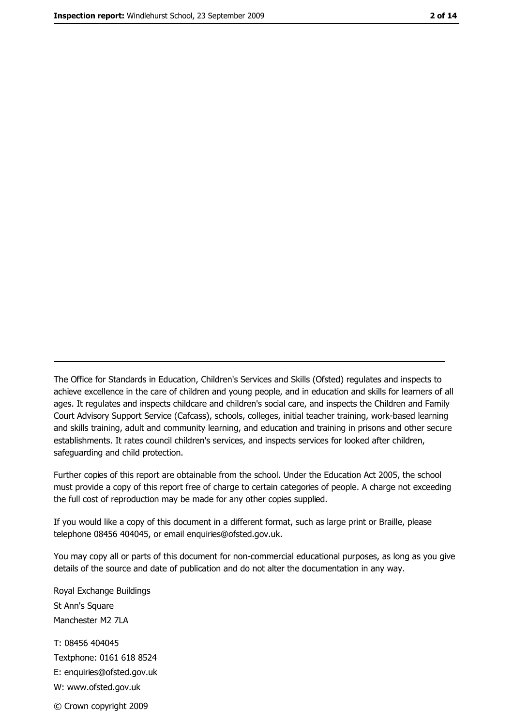The Office for Standards in Education, Children's Services and Skills (Ofsted) regulates and inspects to achieve excellence in the care of children and young people, and in education and skills for learners of all ages. It regulates and inspects childcare and children's social care, and inspects the Children and Family Court Advisory Support Service (Cafcass), schools, colleges, initial teacher training, work-based learning and skills training, adult and community learning, and education and training in prisons and other secure establishments. It rates council children's services, and inspects services for looked after children, safequarding and child protection.

Further copies of this report are obtainable from the school. Under the Education Act 2005, the school must provide a copy of this report free of charge to certain categories of people. A charge not exceeding the full cost of reproduction may be made for any other copies supplied.

If you would like a copy of this document in a different format, such as large print or Braille, please telephone 08456 404045, or email enquiries@ofsted.gov.uk.

You may copy all or parts of this document for non-commercial educational purposes, as long as you give details of the source and date of publication and do not alter the documentation in any way.

Royal Exchange Buildings St Ann's Square Manchester M2 7LA T: 08456 404045 Textphone: 0161 618 8524 E: enquiries@ofsted.gov.uk W: www.ofsted.gov.uk © Crown copyright 2009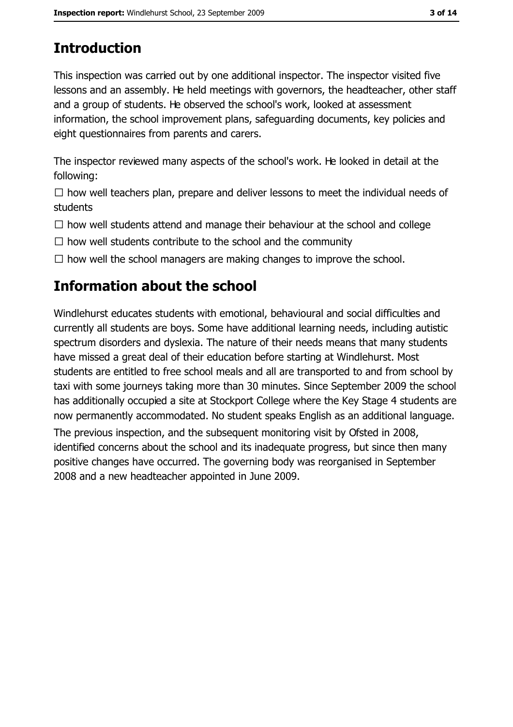# **Introduction**

This inspection was carried out by one additional inspector. The inspector visited five lessons and an assembly. He held meetings with governors, the headteacher, other staff and a group of students. He observed the school's work, looked at assessment information, the school improvement plans, safeguarding documents, key policies and eight questionnaires from parents and carers.

The inspector reviewed many aspects of the school's work. He looked in detail at the following:

 $\Box$  how well teachers plan, prepare and deliver lessons to meet the individual needs of students

 $\Box$  how well students attend and manage their behaviour at the school and college

 $\Box$  how well students contribute to the school and the community

 $\Box$  how well the school managers are making changes to improve the school.

# **Information about the school**

Windlehurst educates students with emotional, behavioural and social difficulties and currently all students are boys. Some have additional learning needs, including autistic spectrum disorders and dyslexia. The nature of their needs means that many students have missed a great deal of their education before starting at Windlehurst. Most students are entitled to free school meals and all are transported to and from school by taxi with some journeys taking more than 30 minutes. Since September 2009 the school has additionally occupied a site at Stockport College where the Key Stage 4 students are now permanently accommodated. No student speaks English as an additional language.

The previous inspection, and the subsequent monitoring visit by Ofsted in 2008, identified concerns about the school and its inadequate progress, but since then many positive changes have occurred. The governing body was reorganised in September 2008 and a new headteacher appointed in June 2009.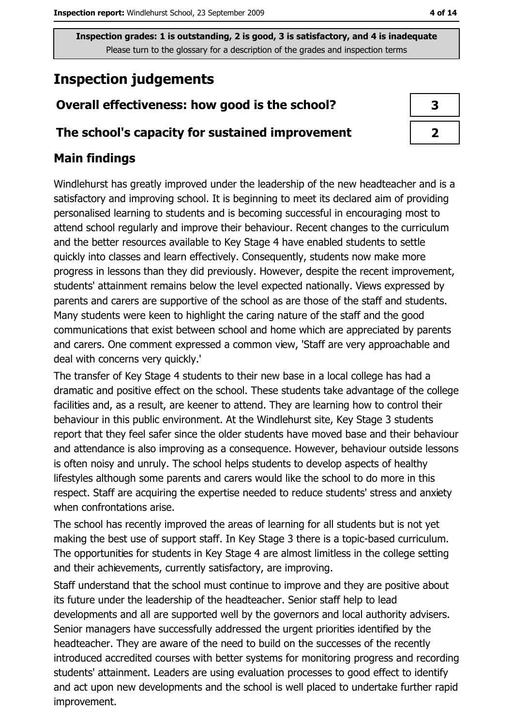# **Inspection judgements**

## Overall effectiveness: how good is the school?

#### The school's capacity for sustained improvement

## **Main findings**

Windlehurst has greatly improved under the leadership of the new headteacher and is a satisfactory and improving school. It is beginning to meet its declared aim of providing personalised learning to students and is becoming successful in encouraging most to attend school regularly and improve their behaviour. Recent changes to the curriculum and the better resources available to Key Stage 4 have enabled students to settle quickly into classes and learn effectively. Consequently, students now make more progress in lessons than they did previously. However, despite the recent improvement, students' attainment remains below the level expected nationally. Views expressed by parents and carers are supportive of the school as are those of the staff and students. Many students were keen to highlight the caring nature of the staff and the good communications that exist between school and home which are appreciated by parents and carers. One comment expressed a common view, 'Staff are very approachable and deal with concerns very quickly.'

The transfer of Key Stage 4 students to their new base in a local college has had a dramatic and positive effect on the school. These students take advantage of the college facilities and, as a result, are keener to attend. They are learning how to control their behaviour in this public environment. At the Windlehurst site, Key Stage 3 students report that they feel safer since the older students have moved base and their behaviour and attendance is also improving as a consequence. However, behaviour outside lessons is often noisy and unruly. The school helps students to develop aspects of healthy lifestyles although some parents and carers would like the school to do more in this respect. Staff are acquiring the expertise needed to reduce students' stress and anxiety when confrontations arise.

The school has recently improved the areas of learning for all students but is not yet making the best use of support staff. In Key Stage 3 there is a topic-based curriculum. The opportunities for students in Key Stage 4 are almost limitless in the college setting and their achievements, currently satisfactory, are improving.

Staff understand that the school must continue to improve and they are positive about its future under the leadership of the headteacher. Senior staff help to lead developments and all are supported well by the governors and local authority advisers. Senior managers have successfully addressed the urgent priorities identified by the headteacher. They are aware of the need to build on the successes of the recently introduced accredited courses with better systems for monitoring progress and recording students' attainment. Leaders are using evaluation processes to good effect to identify and act upon new developments and the school is well placed to undertake further rapid improvement.

| 3 |  |
|---|--|
|   |  |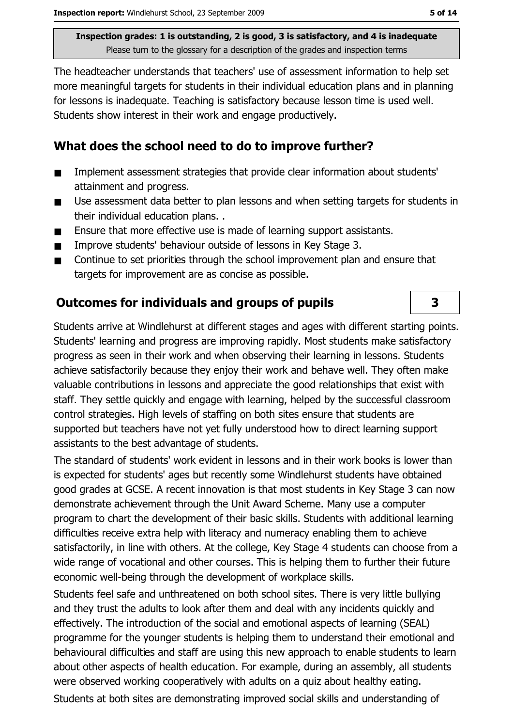The headteacher understands that teachers' use of assessment information to help set more meaningful targets for students in their individual education plans and in planning for lessons is inadequate. Teaching is satisfactory because lesson time is used well. Students show interest in their work and engage productively.

### What does the school need to do to improve further?

- Implement assessment strategies that provide clear information about students' . attainment and progress.
- Use assessment data better to plan lessons and when setting targets for students in  $\blacksquare$ their individual education plans..
- Ensure that more effective use is made of learning support assistants.  $\blacksquare$
- Improve students' behaviour outside of lessons in Key Stage 3.  $\blacksquare$
- Continue to set priorities through the school improvement plan and ensure that  $\blacksquare$ targets for improvement are as concise as possible.

## **Outcomes for individuals and groups of pupils**

Students arrive at Windlehurst at different stages and ages with different starting points. Students' learning and progress are improving rapidly. Most students make satisfactory progress as seen in their work and when observing their learning in lessons. Students achieve satisfactorily because they enjoy their work and behave well. They often make valuable contributions in lessons and appreciate the good relationships that exist with staff. They settle quickly and engage with learning, helped by the successful classroom control strategies. High levels of staffing on both sites ensure that students are supported but teachers have not yet fully understood how to direct learning support assistants to the best advantage of students.

The standard of students' work evident in lessons and in their work books is lower than is expected for students' ages but recently some Windlehurst students have obtained good grades at GCSE. A recent innovation is that most students in Key Stage 3 can now demonstrate achievement through the Unit Award Scheme. Many use a computer program to chart the development of their basic skills. Students with additional learning difficulties receive extra help with literacy and numeracy enabling them to achieve satisfactorily, in line with others. At the college, Key Stage 4 students can choose from a wide range of vocational and other courses. This is helping them to further their future economic well-being through the development of workplace skills.

Students feel safe and unthreatened on both school sites. There is very little bullying and they trust the adults to look after them and deal with any incidents quickly and effectively. The introduction of the social and emotional aspects of learning (SEAL) programme for the younger students is helping them to understand their emotional and behavioural difficulties and staff are using this new approach to enable students to learn about other aspects of health education. For example, during an assembly, all students were observed working cooperatively with adults on a quiz about healthy eating.

Students at both sites are demonstrating improved social skills and understanding of

3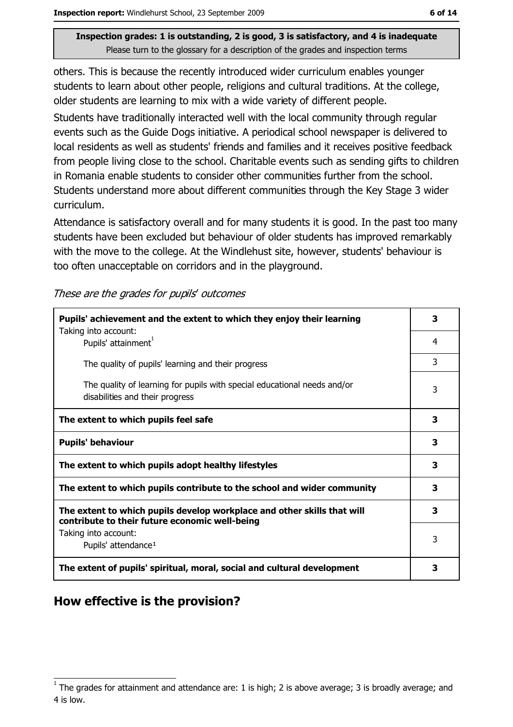others. This is because the recently introduced wider curriculum enables younger students to learn about other people, religions and cultural traditions. At the college, older students are learning to mix with a wide variety of different people.

Students have traditionally interacted well with the local community through regular events such as the Guide Dogs initiative. A periodical school newspaper is delivered to local residents as well as students' friends and families and it receives positive feedback from people living close to the school. Charitable events such as sending gifts to children in Romania enable students to consider other communities further from the school. Students understand more about different communities through the Key Stage 3 wider curriculum.

Attendance is satisfactory overall and for many students it is good. In the past too many students have been excluded but behaviour of older students has improved remarkably with the move to the college. At the Windlehust site, however, students' behaviour is too often unacceptable on corridors and in the playground.

| These are the grades for pupils' outcomes |  |
|-------------------------------------------|--|
|-------------------------------------------|--|

| Pupils' achievement and the extent to which they enjoy their learning                                                     |   |  |  |
|---------------------------------------------------------------------------------------------------------------------------|---|--|--|
| Taking into account:<br>Pupils' attainment <sup>1</sup>                                                                   | 4 |  |  |
| The quality of pupils' learning and their progress                                                                        | 3 |  |  |
| The quality of learning for pupils with special educational needs and/or<br>disabilities and their progress               | 3 |  |  |
| The extent to which pupils feel safe                                                                                      | 3 |  |  |
| <b>Pupils' behaviour</b>                                                                                                  | 3 |  |  |
| The extent to which pupils adopt healthy lifestyles                                                                       | 3 |  |  |
| The extent to which pupils contribute to the school and wider community                                                   |   |  |  |
| The extent to which pupils develop workplace and other skills that will<br>contribute to their future economic well-being | 3 |  |  |
| Taking into account:<br>Pupils' attendance <sup>1</sup>                                                                   | 3 |  |  |
| The extent of pupils' spiritual, moral, social and cultural development                                                   |   |  |  |

## How effective is the provision?

The grades for attainment and attendance are: 1 is high; 2 is above average; 3 is broadly average; and 4 is low.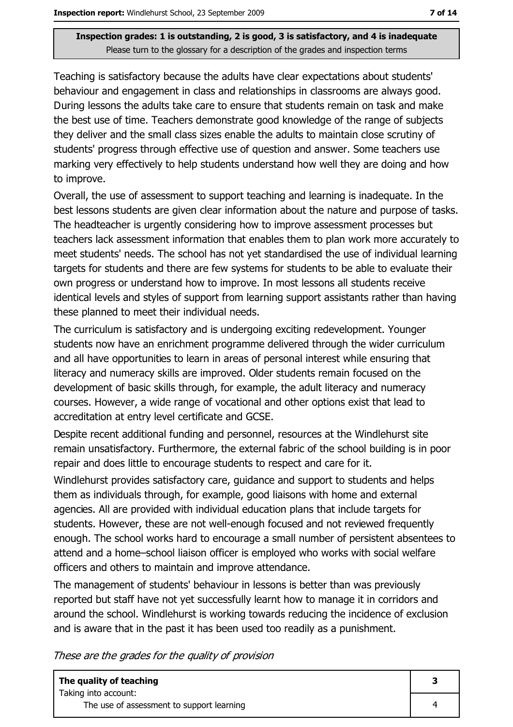Teaching is satisfactory because the adults have clear expectations about students' behaviour and engagement in class and relationships in classrooms are always good. During lessons the adults take care to ensure that students remain on task and make the best use of time. Teachers demonstrate good knowledge of the range of subjects they deliver and the small class sizes enable the adults to maintain close scrutiny of students' progress through effective use of question and answer. Some teachers use marking very effectively to help students understand how well they are doing and how to improve.

Overall, the use of assessment to support teaching and learning is inadequate. In the best lessons students are given clear information about the nature and purpose of tasks. The headteacher is urgently considering how to improve assessment processes but teachers lack assessment information that enables them to plan work more accurately to meet students' needs. The school has not yet standardised the use of individual learning targets for students and there are few systems for students to be able to evaluate their own progress or understand how to improve. In most lessons all students receive identical levels and styles of support from learning support assistants rather than having these planned to meet their individual needs.

The curriculum is satisfactory and is undergoing exciting redevelopment. Younger students now have an enrichment programme delivered through the wider curriculum and all have opportunities to learn in areas of personal interest while ensuring that literacy and numeracy skills are improved. Older students remain focused on the development of basic skills through, for example, the adult literacy and numeracy courses. However, a wide range of vocational and other options exist that lead to accreditation at entry level certificate and GCSE.

Despite recent additional funding and personnel, resources at the Windlehurst site remain unsatisfactory. Furthermore, the external fabric of the school building is in poor repair and does little to encourage students to respect and care for it.

Windlehurst provides satisfactory care, quidance and support to students and helps them as individuals through, for example, good liaisons with home and external agencies. All are provided with individual education plans that include targets for students. However, these are not well-enough focused and not reviewed frequently enough. The school works hard to encourage a small number of persistent absentees to attend and a home-school liaison officer is employed who works with social welfare officers and others to maintain and improve attendance.

The management of students' behaviour in lessons is better than was previously reported but staff have not yet successfully learnt how to manage it in corridors and around the school. Windlehurst is working towards reducing the incidence of exclusion and is aware that in the past it has been used too readily as a punishment.

These are the grades for the quality of provision

| The quality of teaching                   |  |
|-------------------------------------------|--|
| Taking into account:                      |  |
| The use of assessment to support learning |  |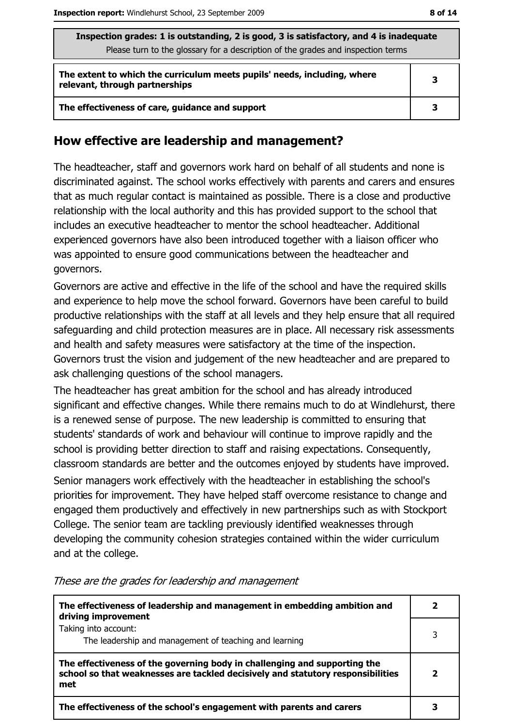| Inspection grades: 1 is outstanding, 2 is good, 3 is satisfactory, and 4 is inadequate<br>Please turn to the glossary for a description of the grades and inspection terms |   |  |
|----------------------------------------------------------------------------------------------------------------------------------------------------------------------------|---|--|
| The extent to which the curriculum meets pupils' needs, including, where<br>relevant, through partnerships                                                                 | 3 |  |
| The effectiveness of care, guidance and support                                                                                                                            | 3 |  |

#### How effective are leadership and management?

The headteacher, staff and governors work hard on behalf of all students and none is discriminated against. The school works effectively with parents and carers and ensures that as much regular contact is maintained as possible. There is a close and productive relationship with the local authority and this has provided support to the school that includes an executive headteacher to mentor the school headteacher. Additional experienced governors have also been introduced together with a liaison officer who was appointed to ensure good communications between the headteacher and governors.

Governors are active and effective in the life of the school and have the required skills and experience to help move the school forward. Governors have been careful to build productive relationships with the staff at all levels and they help ensure that all required safeguarding and child protection measures are in place. All necessary risk assessments and health and safety measures were satisfactory at the time of the inspection. Governors trust the vision and judgement of the new headteacher and are prepared to ask challenging questions of the school managers.

The headteacher has great ambition for the school and has already introduced significant and effective changes. While there remains much to do at Windlehurst, there is a renewed sense of purpose. The new leadership is committed to ensuring that students' standards of work and behaviour will continue to improve rapidly and the school is providing better direction to staff and raising expectations. Consequently, classroom standards are better and the outcomes enjoyed by students have improved. Senior managers work effectively with the headteacher in establishing the school's priorities for improvement. They have helped staff overcome resistance to change and engaged them productively and effectively in new partnerships such as with Stockport College. The senior team are tackling previously identified weaknesses through developing the community cohesion strategies contained within the wider curriculum and at the college.

The effectiveness of leadership and management in embedding ambition and  $\overline{2}$ driving improvement Taking into account:  $\overline{3}$ The leadership and management of teaching and learning The effectiveness of the governing body in challenging and supporting the school so that weaknesses are tackled decisively and statutory responsibilities  $\overline{2}$ met  $\overline{\mathbf{3}}$ The effectiveness of the school's engagement with parents and carers

These are the grades for leadership and management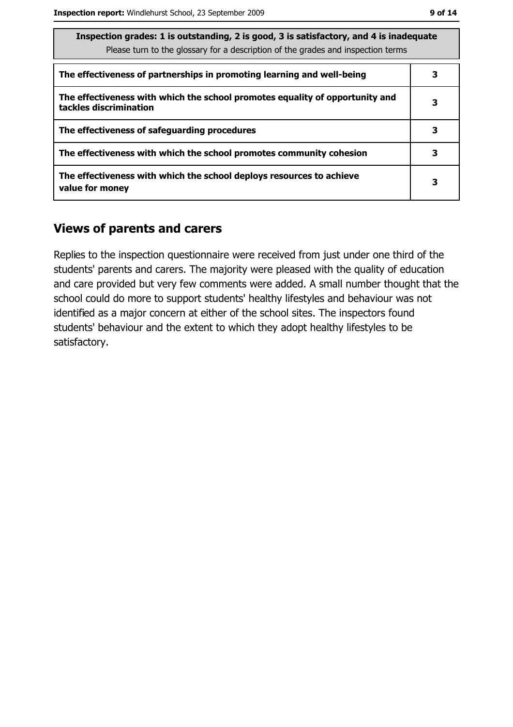| Inspection grades: 1 is outstanding, 2 is good, 3 is satisfactory, and 4 is inadequate<br>Please turn to the glossary for a description of the grades and inspection terms |   |
|----------------------------------------------------------------------------------------------------------------------------------------------------------------------------|---|
| The effectiveness of partnerships in promoting learning and well-being                                                                                                     | з |
| The effectiveness with which the school promotes equality of opportunity and<br>tackles discrimination                                                                     | 3 |
| The effectiveness of safeguarding procedures                                                                                                                               | 3 |
| The effectiveness with which the school promotes community cohesion                                                                                                        | 3 |
| The effectiveness with which the school deploys resources to achieve<br>value for money                                                                                    | 3 |

#### **Views of parents and carers**

Replies to the inspection questionnaire were received from just under one third of the students' parents and carers. The majority were pleased with the quality of education and care provided but very few comments were added. A small number thought that the school could do more to support students' healthy lifestyles and behaviour was not identified as a major concern at either of the school sites. The inspectors found students' behaviour and the extent to which they adopt healthy lifestyles to be satisfactory.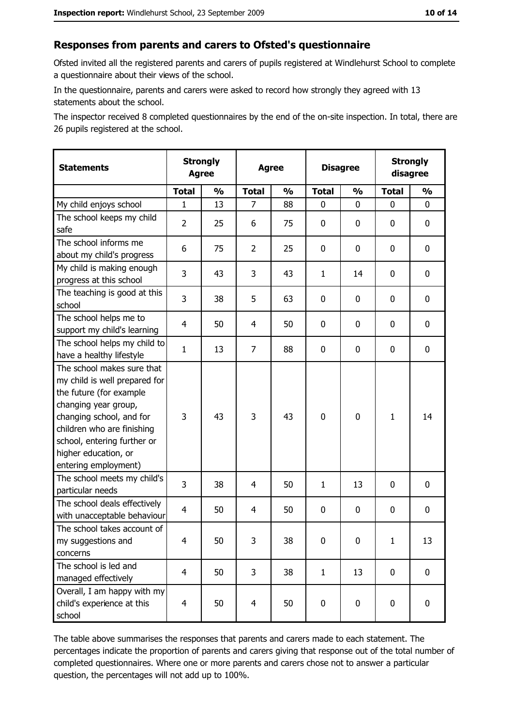#### Responses from parents and carers to Ofsted's questionnaire

Ofsted invited all the registered parents and carers of pupils registered at Windlehurst School to complete a questionnaire about their views of the school.

In the questionnaire, parents and carers were asked to record how strongly they agreed with 13 statements about the school.

The inspector received 8 completed questionnaires by the end of the on-site inspection. In total, there are 26 pupils registered at the school.

| <b>Statements</b>                                                                                                                                                                                                                                       |                | <b>Strongly</b><br><b>Agree</b> |                | <b>Disagree</b><br><b>Agree</b> |              |               |              | <b>Strongly</b><br>disagree |  |
|---------------------------------------------------------------------------------------------------------------------------------------------------------------------------------------------------------------------------------------------------------|----------------|---------------------------------|----------------|---------------------------------|--------------|---------------|--------------|-----------------------------|--|
|                                                                                                                                                                                                                                                         | <b>Total</b>   | $\frac{0}{0}$                   | <b>Total</b>   | $\frac{0}{0}$                   | <b>Total</b> | $\frac{0}{0}$ | <b>Total</b> | $\frac{0}{0}$               |  |
| My child enjoys school                                                                                                                                                                                                                                  | $\mathbf{1}$   | 13                              | $\overline{7}$ | 88                              | 0            | 0             | $\mathbf{0}$ | $\mathbf{0}$                |  |
| The school keeps my child<br>safe                                                                                                                                                                                                                       | $\overline{2}$ | 25                              | 6              | 75                              | 0            | 0             | 0            | $\mathbf 0$                 |  |
| The school informs me<br>about my child's progress                                                                                                                                                                                                      | 6              | 75                              | $\overline{2}$ | 25                              | 0            | 0             | 0            | $\mathbf 0$                 |  |
| My child is making enough<br>progress at this school                                                                                                                                                                                                    | 3              | 43                              | 3              | 43                              | $\mathbf{1}$ | 14            | 0            | 0                           |  |
| The teaching is good at this<br>school                                                                                                                                                                                                                  | 3              | 38                              | 5              | 63                              | 0            | 0             | 0            | $\mathbf 0$                 |  |
| The school helps me to<br>support my child's learning                                                                                                                                                                                                   | $\overline{4}$ | 50                              | 4              | 50                              | $\mathbf 0$  | 0             | 0            | 0                           |  |
| The school helps my child to<br>have a healthy lifestyle                                                                                                                                                                                                | $\mathbf{1}$   | 13                              | $\overline{7}$ | 88                              | $\mathbf 0$  | 0             | 0            | $\mathbf 0$                 |  |
| The school makes sure that<br>my child is well prepared for<br>the future (for example<br>changing year group,<br>changing school, and for<br>children who are finishing<br>school, entering further or<br>higher education, or<br>entering employment) | 3              | 43                              | 3              | 43                              | $\mathbf 0$  | 0             | 1            | 14                          |  |
| The school meets my child's<br>particular needs                                                                                                                                                                                                         | 3              | 38                              | 4              | 50                              | $\mathbf{1}$ | 13            | 0            | $\mathbf 0$                 |  |
| The school deals effectively<br>with unacceptable behaviour                                                                                                                                                                                             | 4              | 50                              | $\overline{4}$ | 50                              | $\mathbf 0$  | 0             | 0            | $\mathbf 0$                 |  |
| The school takes account of<br>my suggestions and<br>concerns                                                                                                                                                                                           | 4              | 50                              | 3              | 38                              | $\mathbf 0$  | 0             | $\mathbf{1}$ | 13                          |  |
| The school is led and<br>managed effectively                                                                                                                                                                                                            | $\overline{4}$ | 50                              | 3              | 38                              | $\mathbf{1}$ | 13            | $\mathbf 0$  | $\mathbf 0$                 |  |
| Overall, I am happy with my<br>child's experience at this<br>school                                                                                                                                                                                     | $\overline{4}$ | 50                              | $\overline{4}$ | 50                              | $\pmb{0}$    | 0             | $\mathbf 0$  | $\mathbf 0$                 |  |

The table above summarises the responses that parents and carers made to each statement. The percentages indicate the proportion of parents and carers giving that response out of the total number of completed questionnaires. Where one or more parents and carers chose not to answer a particular question, the percentages will not add up to 100%.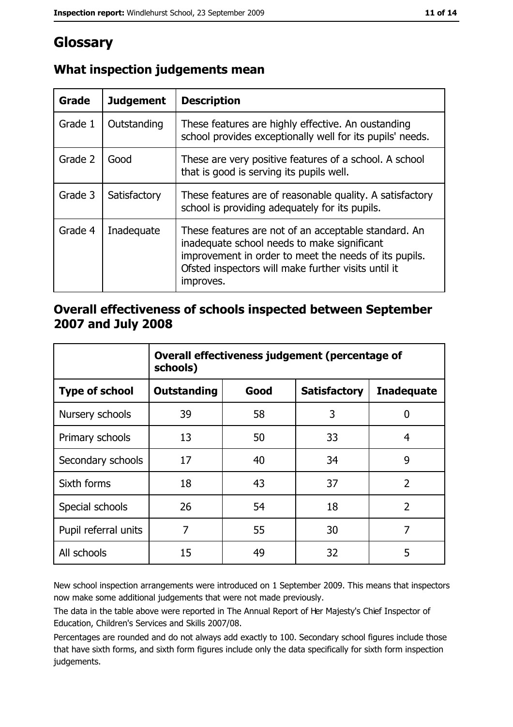# Glossary

| Grade   | <b>Judgement</b> | <b>Description</b>                                                                                                                                                                                                               |
|---------|------------------|----------------------------------------------------------------------------------------------------------------------------------------------------------------------------------------------------------------------------------|
| Grade 1 | Outstanding      | These features are highly effective. An oustanding<br>school provides exceptionally well for its pupils' needs.                                                                                                                  |
| Grade 2 | Good             | These are very positive features of a school. A school<br>that is good is serving its pupils well.                                                                                                                               |
| Grade 3 | Satisfactory     | These features are of reasonable quality. A satisfactory<br>school is providing adequately for its pupils.                                                                                                                       |
| Grade 4 | Inadequate       | These features are not of an acceptable standard. An<br>inadequate school needs to make significant<br>improvement in order to meet the needs of its pupils.<br>Ofsted inspectors will make further visits until it<br>improves. |

## What inspection judgements mean

### Overall effectiveness of schools inspected between September 2007 and July 2008

|                       | Overall effectiveness judgement (percentage of<br>schools) |      |                     |                   |  |
|-----------------------|------------------------------------------------------------|------|---------------------|-------------------|--|
| <b>Type of school</b> | <b>Outstanding</b>                                         | Good | <b>Satisfactory</b> | <b>Inadequate</b> |  |
| Nursery schools       | 39                                                         | 58   | 3                   | 0                 |  |
| Primary schools       | 13                                                         | 50   | 33                  | 4                 |  |
| Secondary schools     | 17                                                         | 40   | 34                  | 9                 |  |
| Sixth forms           | 18                                                         | 43   | 37                  | $\overline{2}$    |  |
| Special schools       | 26                                                         | 54   | 18                  | $\overline{2}$    |  |
| Pupil referral units  | 7                                                          | 55   | 30                  | 7                 |  |
| All schools           | 15                                                         | 49   | 32                  | 5                 |  |

New school inspection arrangements were introduced on 1 September 2009. This means that inspectors now make some additional judgements that were not made previously.

The data in the table above were reported in The Annual Report of Her Majesty's Chief Inspector of Education, Children's Services and Skills 2007/08.

Percentages are rounded and do not always add exactly to 100. Secondary school figures include those that have sixth forms, and sixth form figures include only the data specifically for sixth form inspection judgements.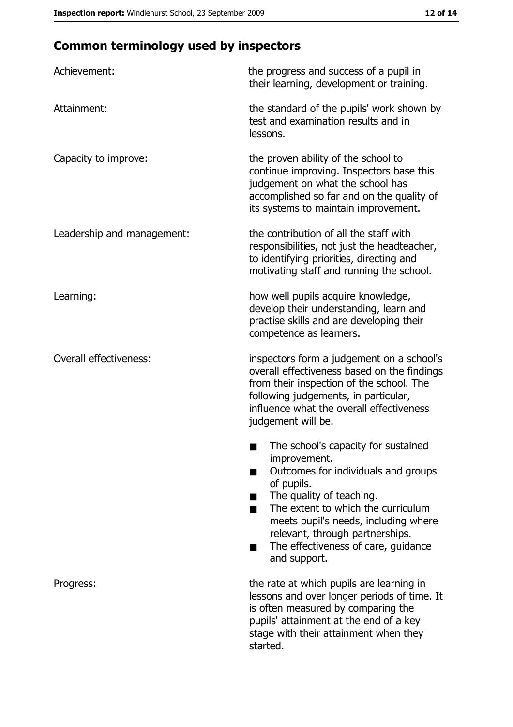# **Common terminology used by inspectors**

| Achievement:                  | the progress and success of a pupil in<br>their learning, development or training.                                                                                                                                                                                                                           |
|-------------------------------|--------------------------------------------------------------------------------------------------------------------------------------------------------------------------------------------------------------------------------------------------------------------------------------------------------------|
| Attainment:                   | the standard of the pupils' work shown by<br>test and examination results and in<br>lessons.                                                                                                                                                                                                                 |
| Capacity to improve:          | the proven ability of the school to<br>continue improving. Inspectors base this<br>judgement on what the school has<br>accomplished so far and on the quality of<br>its systems to maintain improvement.                                                                                                     |
| Leadership and management:    | the contribution of all the staff with<br>responsibilities, not just the headteacher,<br>to identifying priorities, directing and<br>motivating staff and running the school.                                                                                                                                |
| Learning:                     | how well pupils acquire knowledge,<br>develop their understanding, learn and<br>practise skills and are developing their<br>competence as learners.                                                                                                                                                          |
| <b>Overall effectiveness:</b> | inspectors form a judgement on a school's<br>overall effectiveness based on the findings<br>from their inspection of the school. The<br>following judgements, in particular,<br>influence what the overall effectiveness<br>judgement will be.                                                               |
|                               | The school's capacity for sustained<br>improvement.<br>Outcomes for individuals and groups<br>of pupils.<br>The quality of teaching.<br>The extent to which the curriculum<br>meets pupil's needs, including where<br>relevant, through partnerships.<br>The effectiveness of care, guidance<br>and support. |
| Progress:                     | the rate at which pupils are learning in<br>lessons and over longer periods of time. It<br>is often measured by comparing the<br>pupils' attainment at the end of a key<br>stage with their attainment when they<br>started.                                                                                 |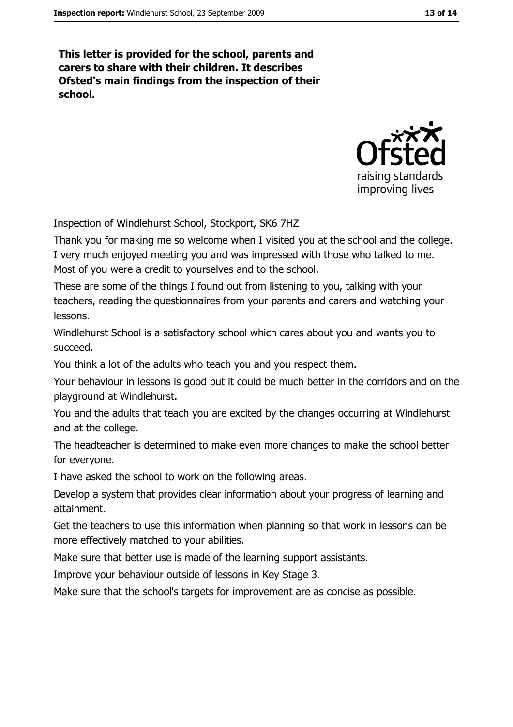This letter is provided for the school, parents and carers to share with their children. It describes Ofsted's main findings from the inspection of their school.



Inspection of Windlehurst School, Stockport, SK6 7HZ

Thank you for making me so welcome when I visited you at the school and the college. I very much enjoyed meeting you and was impressed with those who talked to me. Most of you were a credit to yourselves and to the school.

These are some of the things I found out from listening to you, talking with your teachers, reading the questionnaires from your parents and carers and watching your lessons.

Windlehurst School is a satisfactory school which cares about you and wants you to succeed.

You think a lot of the adults who teach you and you respect them.

Your behaviour in lessons is good but it could be much better in the corridors and on the playground at Windlehurst.

You and the adults that teach you are excited by the changes occurring at Windlehurst and at the college.

The headteacher is determined to make even more changes to make the school better for everyone.

I have asked the school to work on the following areas.

Develop a system that provides clear information about your progress of learning and attainment.

Get the teachers to use this information when planning so that work in lessons can be more effectively matched to your abilities.

Make sure that better use is made of the learning support assistants.

Improve your behaviour outside of lessons in Key Stage 3.

Make sure that the school's targets for improvement are as concise as possible.